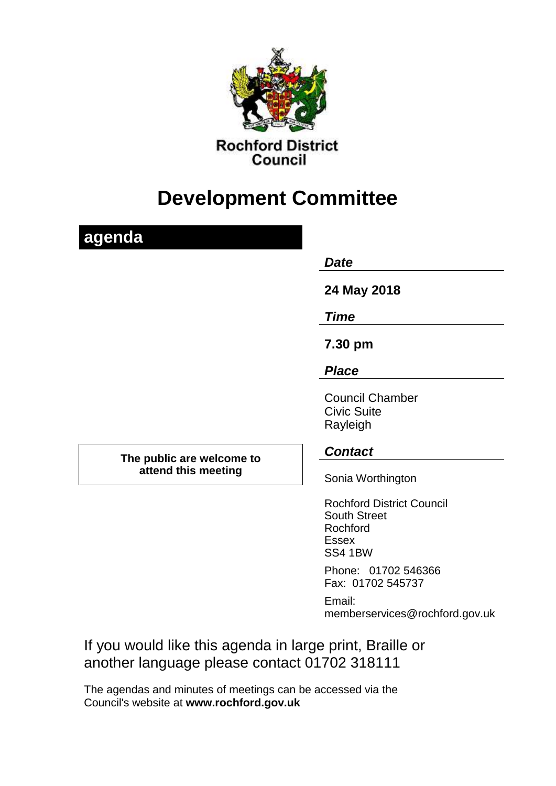

# **Development Committee**

| agenda                                           | <b>Date</b>                                                                                    |
|--------------------------------------------------|------------------------------------------------------------------------------------------------|
|                                                  | 24 May 2018                                                                                    |
|                                                  | <b>Time</b>                                                                                    |
|                                                  | 7.30 pm                                                                                        |
|                                                  | <b>Place</b>                                                                                   |
|                                                  | <b>Council Chamber</b><br><b>Civic Suite</b><br>Rayleigh                                       |
| The public are welcome to<br>attend this meeting | <b>Contact</b>                                                                                 |
|                                                  | Sonia Worthington                                                                              |
|                                                  | <b>Rochford District Council</b><br><b>South Street</b><br>Rochford<br><b>Essex</b><br>SS4 1BW |
|                                                  | Phone: 01702 546366<br>Fax: 01702 545737                                                       |
|                                                  | Email:                                                                                         |

memberservices@rochford.gov.uk

If you would like this agenda in large print, Braille or another language please contact 01702 318111

The agendas and minutes of meetings can be accessed via the Council's website at **[www.rochford.gov.uk](http://www.rochford.gov.uk/)**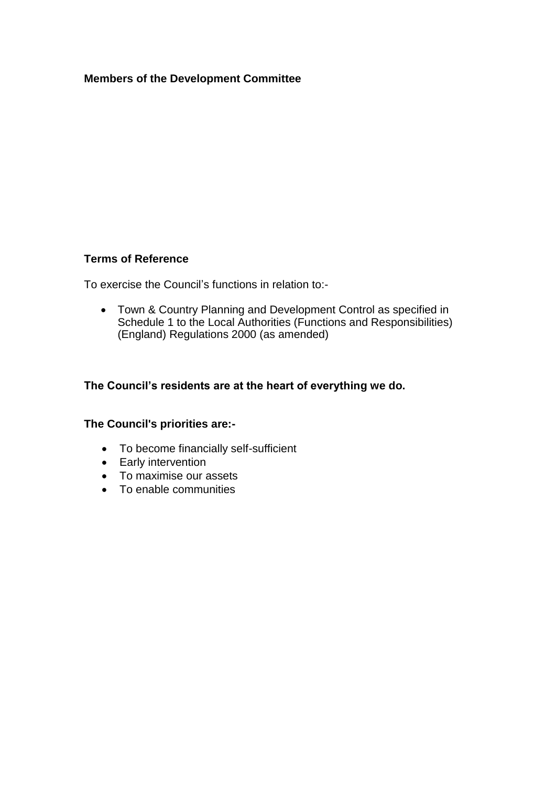### **Members of the Development Committee**

### **Terms of Reference**

To exercise the Council's functions in relation to:-

 Town & Country Planning and Development Control as specified in Schedule 1 to the Local Authorities (Functions and Responsibilities) (England) Regulations 2000 (as amended)

# **The Council's residents are at the heart of everything we do.**

#### **The Council's priorities are:-**

- To become financially self-sufficient
- Early intervention
- To maximise our assets
- To enable communities